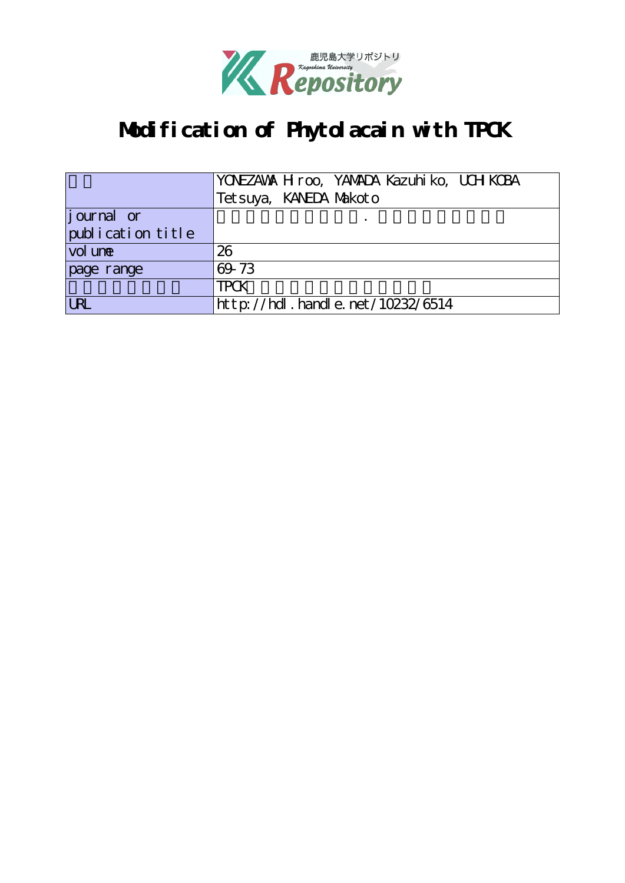

# **Modification of Phytolacain with TPCK**

|                   | YONEZAWA H roo, YAMADA Kazuhi ko, UCH KCBA |
|-------------------|--------------------------------------------|
|                   | Tet suya, KANEDA Makoto                    |
| journal or        |                                            |
| publication title |                                            |
| vol une           | 26                                         |
| page range        | 69-73                                      |
|                   | <b>TPCK</b>                                |
| URL               | http://hdl.handle.net/10232/6514           |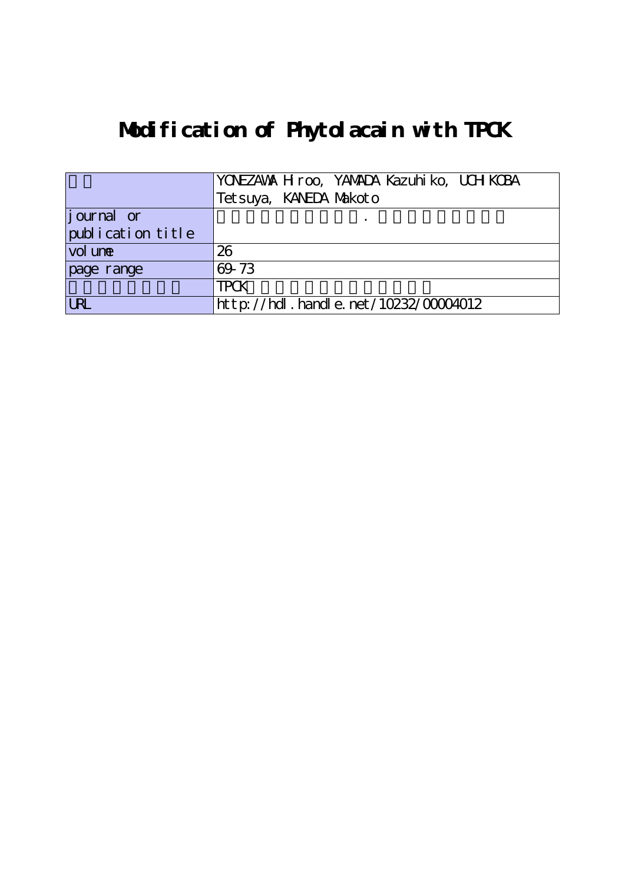# **Modification of Phytolacain with TPCK**

|                   | YONEZAWA H roo, YAMADA Kazuhi ko, UCH KCBA |
|-------------------|--------------------------------------------|
|                   | Tet suya, KANEDA Makot o                   |
| journal or        |                                            |
| publication title |                                            |
| vol une           | 26                                         |
| page range        | 69-73                                      |
|                   | <b>TPCK</b>                                |
| <b>URL</b>        | $http://hdl. handle. net/10232/00004012$   |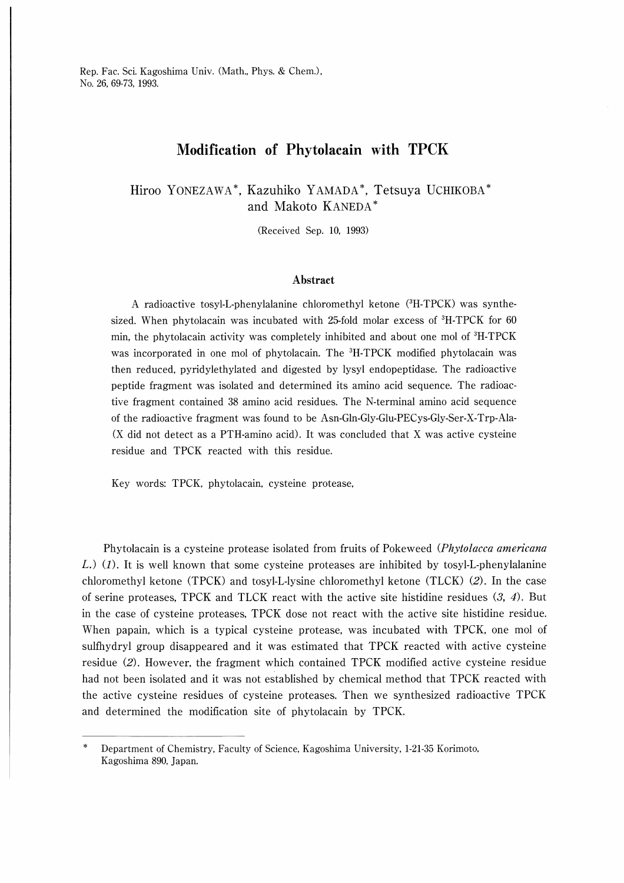## Modification of Phytolacain with TPCK

Hiroo YONEZAWA\*, Kazuhiko YAMADA\*, Tetsuya UCHIKOBA and Makoto KANEDA

(Received Sep. 10, 1993)

#### Abstract

A radioactive tosyl-L-phenylalanine chloromethyl ketone (3H-TPCK) was synthesized. When phytolacain was incubated with 25-fold molar excess of 3H-TPCK for 60 min, the phytolacain activity was completely inhibited and about one mol of  $H-TPCK$ was incorporated in one mol of phytolacain. The <sup>3</sup>H-TPCK modified phytolacain was then reduced, pyridylethylated and digested by lysyl endopeptidase. The radioactive peptide fragment was isolated and determined its amino acid sequence. The radioactive fragment contained 38 amino acid residues. The N-terminal ammo acid sequence of the radioactive fragment was found to be Asn-Gln-Gly-Glu-PECys-Gly-Ser-X-Trp-Ala- (X did not detect as a PTH-amino acid). It was concluded that X was active cysteine residue and TPCK reacted with this residue.

Key words: TPCK, phytolacain, cysteine protease,

Phytolacain is a cysteine protease isolated from fruits of Pokeweed (Phytolacca americana L.) (1). It is well known that some cysteine proteases are inhibited by tosyl-L-phenylalanine chloromethyl ketone (TPCK) and tosyl-L-lysine chloromethyl ketone (TLCK) (2). In the case of serine proteases, TPCK and TLCK react with the active site histidine residues  $(3, 4)$ . But in the case of cysteine proteases, TPCK dose not react with the active site histidine residue. When papain, which is a typical cysteine protease, was incubated with TPCK, one mol of sulfhydryl group disappeared and it was estimated that TPCK reacted with active cysteine residue (2). However, the fragment which contained TPCK modified active cysteine residue had not been isolated and it was not established by chemical method that TPCK reacted with the active cysteine residues of cysteine proteases. Then we synthesized radioactive TPCK and determined the modification site of phytolacain by TPCK.

Department of Chemistry, Faculty of Science, Kagoshima University, 1-21-35 Korimoto, Kagoshima 890, Japan.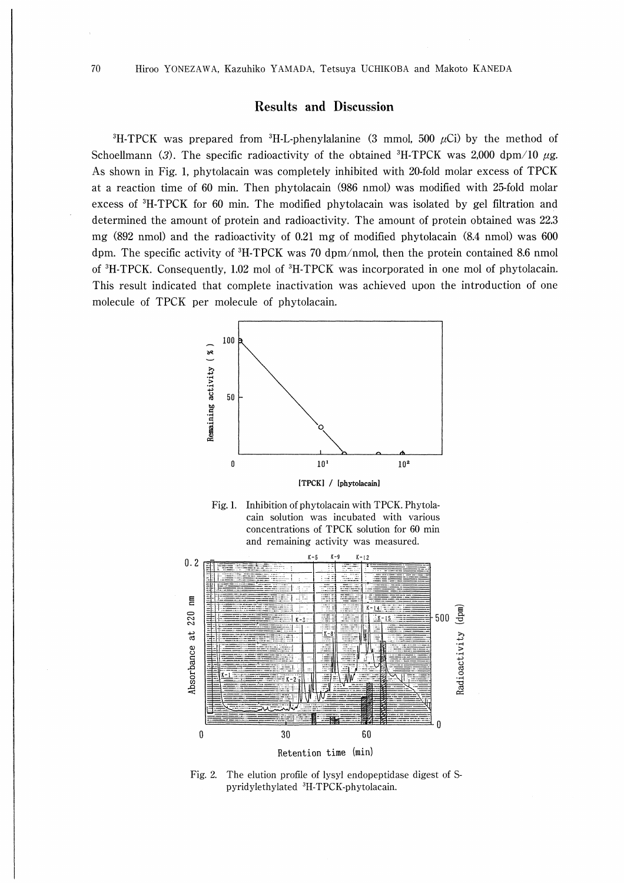## Results and Discussion

<sup>3</sup>H-TPCK was prepared from <sup>3</sup>H-L-phenylalanine (3 mmol, 500  $\mu$ Ci) by the method of Schoellmann (3). The specific radioactivity of the obtained  ${}^{3}$ H-TPCK was 2,000 dpm/10  $\mu$ g. As shown in Fig. 1, phytolacain was completely inhibited with 20-fold molar excess of TPCK at a reaction time of 60 min. Then phytolacain (986 nmol) was modified with 25-fold molar excess of 3H-TPCK for 60 min. The modified phytolacain was isolated by gel filtration and determined the amount of protein and radioactivity. The amount of protein obtained was 22.3 mg (892 nmol) and the radioactivity of 0.21 mg of modified phytolacain (8.4 nmol) was 600 dpm. The specific activity of  ${}^{3}$ H-TPCK was 70 dpm/nmol, then the protein contained 8.6 nmol of 3H-TPCK. Consequently, 1.02 mol of 3H-TPCK was incorporated in one mol of phytolacain. This result indicated that complete inactivation was achieved upon the introduction of one molecule of TPCK per molecule of phytolacain.







Fig. 2. The elution profile of lysyl endopeptidase digest of Spyridylethylated 3H-TPCK-phytolacain.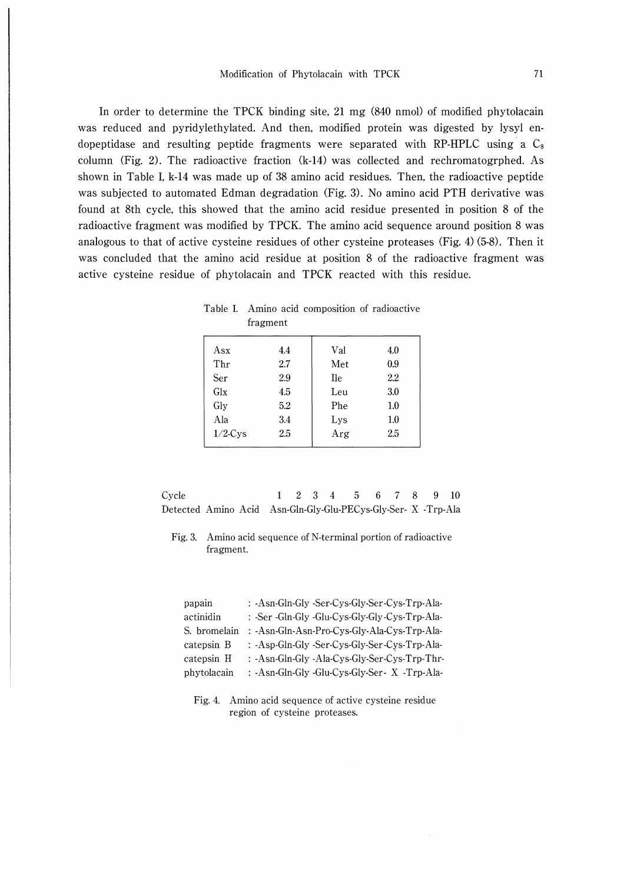In order to determine the TPCK binding site, 21 mg (840 nmol) of modified phytolacain was reduced and pyridylethylated. And then, modified protein was digested by lysyl endopeptidase and resulting peptide fragments were separated with RP-HPLC using a  $C_8$ column (Fig. 2). The radioactive fraction  $(k-14)$  was collected and rechromatogrphed. As shown in Table I, k-14 was made up of 38 amino acid residues. Then, the radioactive peptide was subjected to automated Edman degradation (Fig. 3). No amino acid PTH derivative was found at 8th cycle, this showed that the amino acid residue presented in position 8 of the radioactive fragment was modified by TPCK. The amino acid sequence around position 8 was analogous to that of active cysteine residues of other cysteine proteases (Fig. 4) (5-8). Then it was concluded that the amino acid residue at position 8 of the radioactive fragment was active cysteine residue of phytolacain and TPCK reacted with this residue.

|            | iragment   |            |            |
|------------|------------|------------|------------|
| Asx<br>Thr | 4.4<br>2.7 | Val<br>Met | 4.0<br>0.9 |
| Ser        | 2.9        | Ile        | 2.2        |
| Glx        | 4.5        | Leu        | 3.0        |
| Gly        | 5.2        | <b>Phe</b> | $1.0\,$    |
| Ala        | 3.4        | Lys        | $1.0\,$    |
| $1/2$ -Cys | 2.5        | Arg        | 2.5        |

Table I. Amino acid composition of radioactive fragment

| Cycle                                                         |  |  | 1 2 3 4 5 6 7 8 9 10 |  |  |  |
|---------------------------------------------------------------|--|--|----------------------|--|--|--|
| Detected Amino Acid Asn-Gln-Gly-Glu-PECys-Gly-Ser- X -Trp-Ala |  |  |                      |  |  |  |

Fig. 3. Amino acid sequence of N-terminal portion of radioactive fragment

| papain       | : -Asn-Gln-Gly -Ser-Cys-Gly-Ser-Cys-Trp-Ala-  |
|--------------|-----------------------------------------------|
| actinidin    | : -Ser -Gln-Gly -Glu-Cys-Gly-Gly-Cys-Trp-Ala- |
| S. bromelain | : -Asn-Gln-Asn-Pro-Cys-Gly-Ala-Cys-Trp-Ala-   |
| catepsin B   | : -Asp-Gln-Gly -Ser-Cys-Gly-Ser-Cys-Trp-Ala-  |
| catepsin H   | : -Asn-Gln-Gly -Ala-Cys-Gly-Ser-Cys-Trp-Thr-  |
| phytolacain  | : -Asn-Gln-Gly -Glu-Cys-Gly-Ser- X -Trp-Ala-  |

Fig. 4. Amino acid sequence of active cysteine residue region of cysteine proteases.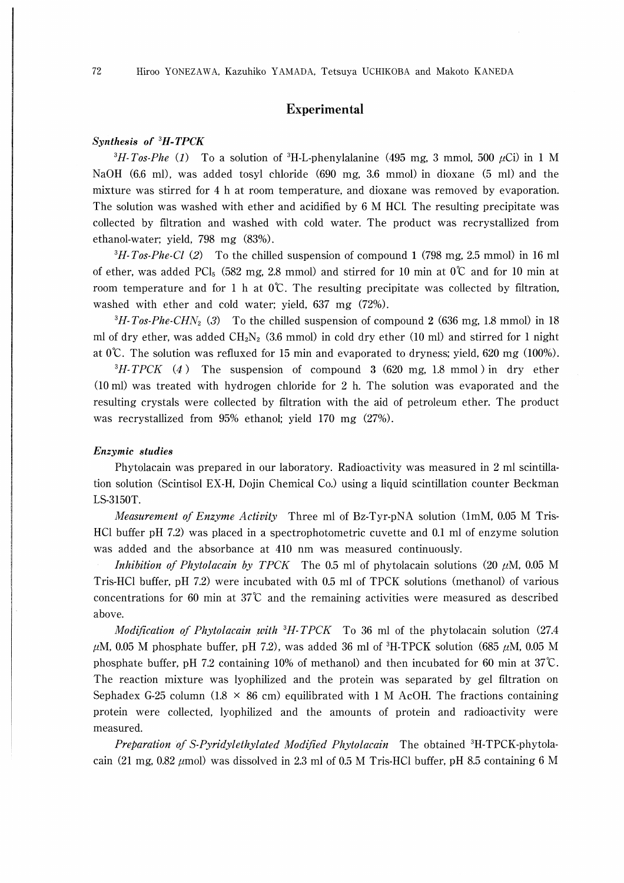## Experimental

### Synthesis of 3H-TPCK

 ${}^{3}H$ -Tos-Phe (1) To a solution of  ${}^{3}H$ -L-phenylalanine (495 mg, 3 mmol, 500  $\mu$ Ci) in 1 M NaOH (6.6 ml), was added tosyl chloride (690 mg, 3.6 mmol) in dioxane (5 ml) and the mixture was stirred for 4 h at room temperature, and dioxane was removed by evaporation. The solution was washed with ether and acidified by 6 M HCl. The resulting precipitate was collected by filtration and washed with cold water. The product was recrystallized from ethanol-water; yield, 798 mg (83%).

 $\frac{3H}{100}$  Fig. 2.5 mmol) in 16 ml  $\frac{3H}{100}$  To the chilled suspension of compound 1 (798 mg, 2.5 mmol) in 16 ml of ether, was added PCl<sub>5</sub> (582 mg, 2.8 mmol) and stirred for 10 min at  $0^{\circ}$  and for 10 min at room temperature and for 1 h at 0℃. The resulting precipitate was collected by filtration, washed with ether and cold water; yield, 637 mg (72%).

 ${}^{3}H$ -Tos-Phe-CHN<sub>2</sub> (3) To the chilled suspension of compound 2 (636 mg, 1.8 mmol) in 18 ml of dry ether, was added  $CH<sub>2</sub>N<sub>2</sub>$  (3.6 mmol) in cold dry ether (10 ml) and stirred for 1 night at  $0^{\circ}$ . The solution was refluxed for 15 min and evaporated to dryness; yield, 620 mg (100%).

 $\partial^3 H \cdot TPCK$  (4) The suspension of compound 3 (620 mg, 1.8 mmol) in dry ether (10ml) was treated with hydrogen chloride for 2 h. The solution was evaporated and the resulting crystals were collected by filtration with the aid of petroleum ether. The product was recrystallized from 95% ethanol; yield 170 mg (27%).

### Enzymic studies

Phytolacain was prepared in our laboratory. Radioactivity was measured in 2 ml scintillation solution (Scintisol EX-H, Dojin Chemical Co.) using a liquid scintillation counter Beckman LS-3150T.

Measurement of Enzyme Activity Three ml of Bz-Tyr-pNA solution (1mM, 0.05 M Tris-HCl buffer pH 7.2) was placed in a spectrophotometric cuvette and 0.1 ml of enzyme solution was added and the absorbance at 410 nm was measured continuously.

Inhibition of Phytolacain by TPCK The 0.5 ml of phytolacain solutions (20  $\mu$ M, 0.05 M Tris-HCl buffer, pH 7.2) were incubated with 0.5 ml of TPCK solutions (methanol) of various concentrations for 60 min at  $37^\circ$ C and the remaining activities were measured as described above.

*Modification of Phytolacain with*  ${}^{3}H$ -*TPCK* To 36 ml of the phytolacain solution (27.4)  $\mu$ M, 0.05 M phosphate buffer, pH 7.2), was added 36 ml of <sup>3</sup>H-TPCK solution (685  $\mu$ M, 0.05 M phosphate buffer, pH 7.2 containing 10% of methanol) and then incubated for 60 min at  $37^{\circ}$ C. The reaction mixture was lyophilized and the protein was separated by gel filtration on Sephadex G-25 column (1.8  $\times$  86 cm) equilibrated with 1 M AcOH. The fractions containing protein were collected, lyophilized and the amounts of protein and radioactivity were measured.

Preparation of S-Pyridylethylated Modified Phytolacain The obtained 3H-TPCK-phytolacain (21 mg, 0.82  $\mu$ mol) was dissolved in 2.3 ml of 0.5 M Tris-HCl buffer, pH 8.5 containing 6 M